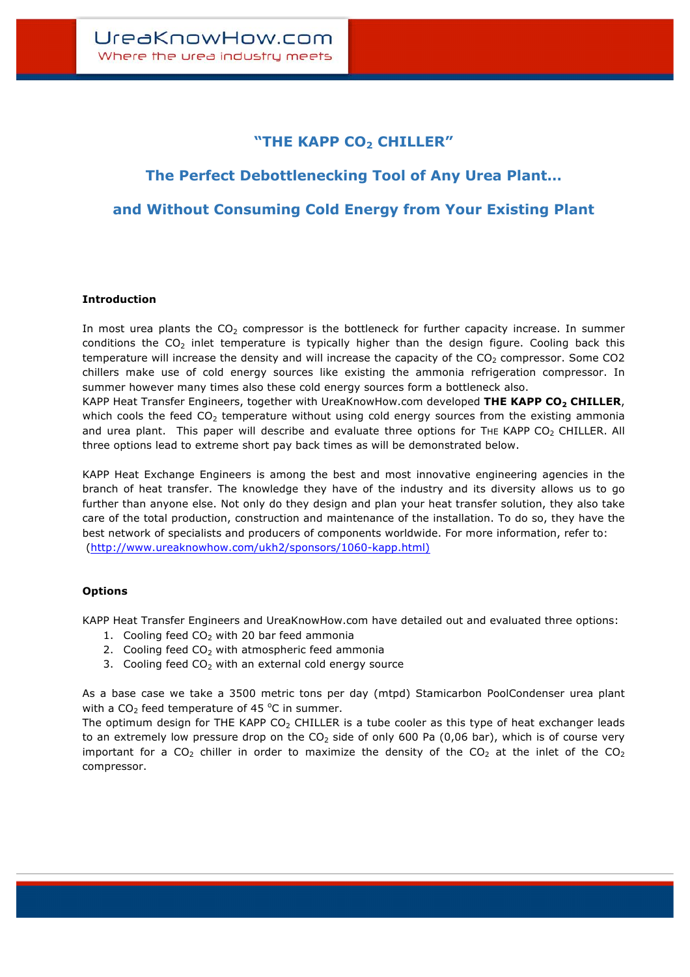## **"THE KAPP CO2 CHILLER"**

# **The Perfect Debottlenecking Tool of Any Urea Plant…**

**and Without Consuming Cold Energy from Your Existing Plant**

## **Introduction**

In most urea plants the  $CO<sub>2</sub>$  compressor is the bottleneck for further capacity increase. In summer conditions the  $CO<sub>2</sub>$  inlet temperature is typically higher than the design figure. Cooling back this temperature will increase the density and will increase the capacity of the  $CO<sub>2</sub>$  compressor. Some  $CO<sub>2</sub>$ chillers make use of cold energy sources like existing the ammonia refrigeration compressor. In summer however many times also these cold energy sources form a bottleneck also. KAPP Heat Transfer Engineers, together with UreaKnowHow.com developed **THE KAPP CO2 CHILLER**, which cools the feed  $CO<sub>2</sub>$  temperature without using cold energy sources from the existing ammonia and urea plant. This paper will describe and evaluate three options for THE KAPP CO<sub>2</sub> CHILLER. All three options lead to extreme short pay back times as will be demonstrated below.

KAPP Heat Exchange Engineers is among the best and most innovative engineering agencies in the branch of heat transfer. The knowledge they have of the industry and its diversity allows us to go further than anyone else. Not only do they design and plan your heat transfer solution, they also take care of the total production, construction and maintenance of the installation. To do so, they have the best network of specialists and producers of components worldwide. For more information, refer to: (http://www.ureaknowhow.com/ukh2/sponsors/1060-kapp.html)

#### **Options**

KAPP Heat Transfer Engineers and UreaKnowHow.com have detailed out and evaluated three options:

- 1. Cooling feed  $CO<sub>2</sub>$  with 20 bar feed ammonia
- 2. Cooling feed  $CO<sub>2</sub>$  with atmospheric feed ammonia
- 3. Cooling feed  $CO<sub>2</sub>$  with an external cold energy source

As a base case we take a 3500 metric tons per day (mtpd) Stamicarbon PoolCondenser urea plant with a  $CO<sub>2</sub>$  feed temperature of 45  $^{\circ}$ C in summer.

The optimum design for THE KAPP  $CO<sub>2</sub>$  CHILLER is a tube cooler as this type of heat exchanger leads to an extremely low pressure drop on the  $CO<sub>2</sub>$  side of only 600 Pa (0,06 bar), which is of course very important for a  $CO<sub>2</sub>$  chiller in order to maximize the density of the  $CO<sub>2</sub>$  at the inlet of the  $CO<sub>2</sub>$ compressor.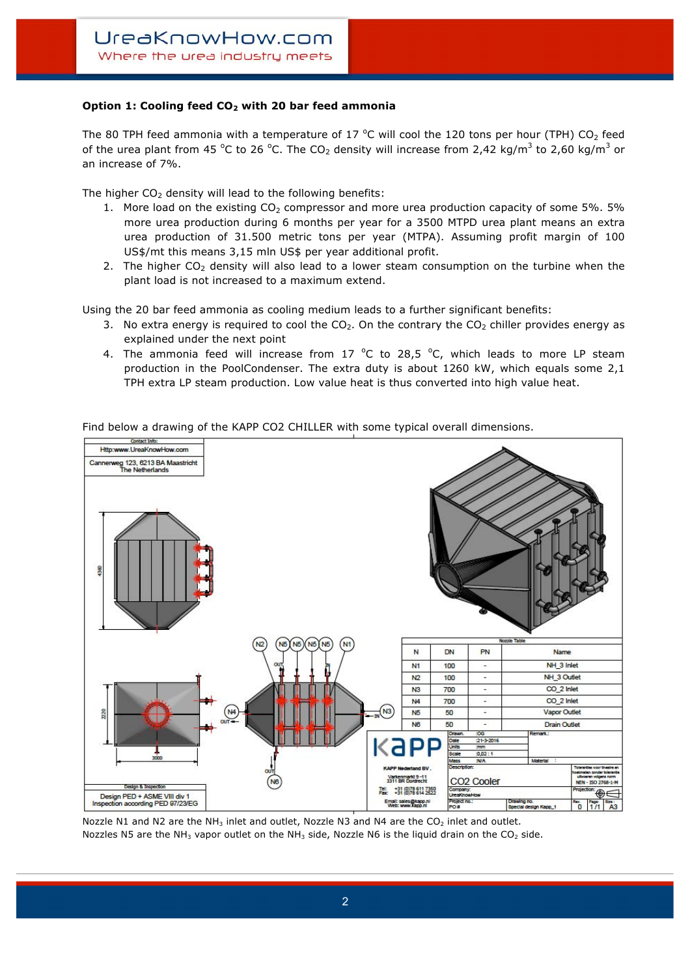## **Option 1: Cooling feed CO2 with 20 bar feed ammonia**

The 80 TPH feed ammonia with a temperature of 17  $^{\circ}$ C will cool the 120 tons per hour (TPH) CO<sub>2</sub> feed of the urea plant from 45 °C to 26 °C. The CO<sub>2</sub> density will increase from 2,42 kg/m<sup>3</sup> to 2,60 kg/m<sup>3</sup> or an increase of 7%.

The higher  $CO<sub>2</sub>$  density will lead to the following benefits:

- 1. More load on the existing  $CO<sub>2</sub>$  compressor and more urea production capacity of some 5%. 5% more urea production during 6 months per year for a 3500 MTPD urea plant means an extra urea production of 31.500 metric tons per year (MTPA). Assuming profit margin of 100 US\$/mt this means 3,15 mln US\$ per year additional profit.
- 2. The higher  $CO<sub>2</sub>$  density will also lead to a lower steam consumption on the turbine when the plant load is not increased to a maximum extend.

Using the 20 bar feed ammonia as cooling medium leads to a further significant benefits:

- 3. No extra energy is required to cool the  $CO<sub>2</sub>$ . On the contrary the  $CO<sub>2</sub>$  chiller provides energy as explained under the next point
- 4. The ammonia feed will increase from 17  $^{\circ}$ C to 28,5  $^{\circ}$ C, which leads to more LP steam production in the PoolCondenser. The extra duty is about 1260 kW, which equals some 2,1 TPH extra LP steam production. Low value heat is thus converted into high value heat.



Find below a drawing of the KAPP CO2 CHILLER with some typical overall dimensions.

Nozzle N1 and N2 are the NH<sub>3</sub> inlet and outlet, Nozzle N3 and N4 are the CO<sub>2</sub> inlet and outlet. Nozzles N5 are the NH<sub>3</sub> vapor outlet on the NH<sub>3</sub> side, Nozzle N6 is the liquid drain on the CO<sub>2</sub> side.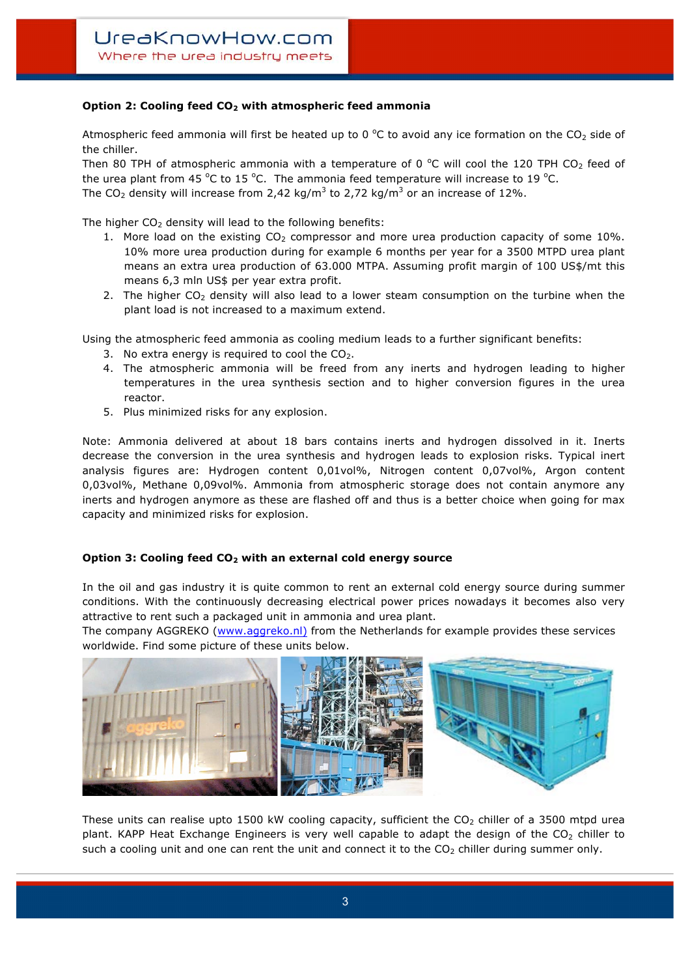## **Option 2: Cooling feed CO2 with atmospheric feed ammonia**

Atmospheric feed ammonia will first be heated up to 0  $^{\circ}$ C to avoid any ice formation on the CO<sub>2</sub> side of the chiller.

Then 80 TPH of atmospheric ammonia with a temperature of 0  $^{\circ}$ C will cool the 120 TPH CO<sub>2</sub> feed of the urea plant from 45 °C to 15 °C. The ammonia feed temperature will increase to 19 °C. The CO<sub>2</sub> density will increase from 2,42 kg/m<sup>3</sup> to 2,72 kg/m<sup>3</sup> or an increase of 12%.

The higher  $CO<sub>2</sub>$  density will lead to the following benefits:

- 1. More load on the existing  $CO<sub>2</sub>$  compressor and more urea production capacity of some 10%. 10% more urea production during for example 6 months per year for a 3500 MTPD urea plant means an extra urea production of 63.000 MTPA. Assuming profit margin of 100 US\$/mt this means 6,3 mln US\$ per year extra profit.
- 2. The higher  $CO<sub>2</sub>$  density will also lead to a lower steam consumption on the turbine when the plant load is not increased to a maximum extend.

Using the atmospheric feed ammonia as cooling medium leads to a further significant benefits:

- 3. No extra energy is required to cool the  $CO<sub>2</sub>$ .
- 4. The atmospheric ammonia will be freed from any inerts and hydrogen leading to higher temperatures in the urea synthesis section and to higher conversion figures in the urea reactor.
- 5. Plus minimized risks for any explosion.

Note: Ammonia delivered at about 18 bars contains inerts and hydrogen dissolved in it. Inerts decrease the conversion in the urea synthesis and hydrogen leads to explosion risks. Typical inert analysis figures are: Hydrogen content 0,01vol%, Nitrogen content 0,07vol%, Argon content 0,03vol%, Methane 0,09vol%. Ammonia from atmospheric storage does not contain anymore any inerts and hydrogen anymore as these are flashed off and thus is a better choice when going for max capacity and minimized risks for explosion.

#### **Option 3: Cooling feed CO<sub>2</sub> with an external cold energy source**

In the oil and gas industry it is quite common to rent an external cold energy source during summer conditions. With the continuously decreasing electrical power prices nowadays it becomes also very attractive to rent such a packaged unit in ammonia and urea plant.

The company AGGREKO (www.aggreko.nl) from the Netherlands for example provides these services worldwide. Find some picture of these units below.



These units can realise upto 1500 kW cooling capacity, sufficient the  $CO<sub>2</sub>$  chiller of a 3500 mtpd urea plant. KAPP Heat Exchange Engineers is very well capable to adapt the design of the  $CO<sub>2</sub>$  chiller to such a cooling unit and one can rent the unit and connect it to the  $CO<sub>2</sub>$  chiller during summer only.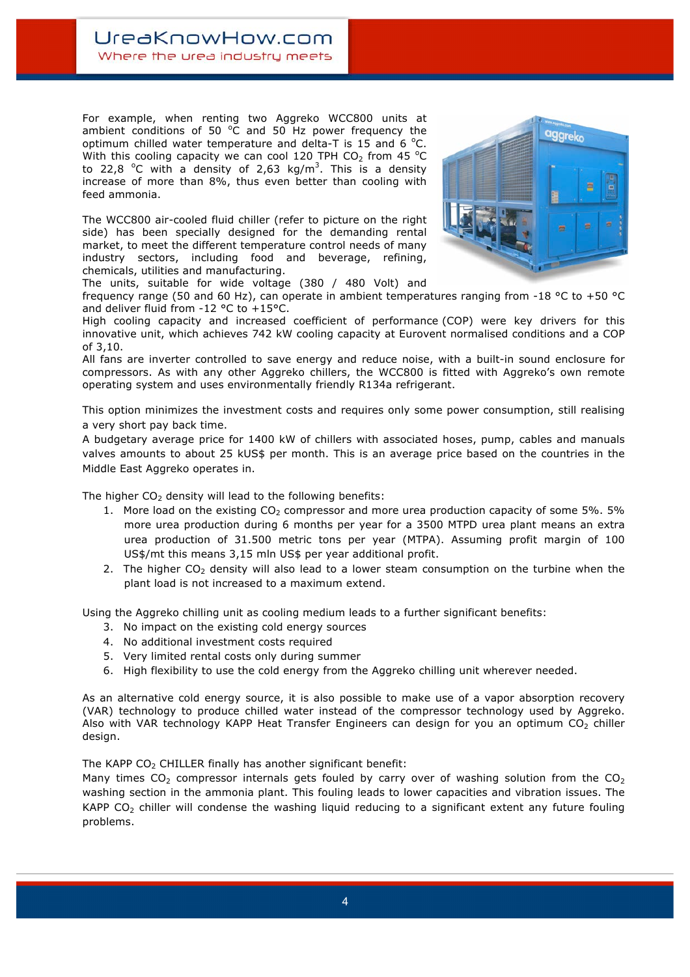For example, when renting two Aggreko WCC800 units at ambient conditions of 50  $^{\circ}$ C and 50 Hz power frequency the optimum chilled water temperature and delta-T is 15 and 6  $^{\circ}$ C. With this cooling capacity we can cool 120 TPH  $CO_2$  from 45  $^{\circ}$ C to 22,8  $\degree$ C with a density of 2,63 kg/m<sup>3</sup>. This is a density increase of more than 8%, thus even better than cooling with feed ammonia.

The WCC800 air-cooled fluid chiller (refer to picture on the right side) has been specially designed for the demanding rental market, to meet the different temperature control needs of many industry sectors, including food and beverage, refining, chemicals, utilities and manufacturing.



The units, suitable for wide voltage (380 / 480 Volt) and

frequency range (50 and 60 Hz), can operate in ambient temperatures ranging from -18 °C to +50 °C and deliver fluid from -12 °C to +15°C.

High cooling capacity and increased coefficient of performance (COP) were key drivers for this innovative unit, which achieves 742 kW cooling capacity at Eurovent normalised conditions and a COP of 3,10.

All fans are inverter controlled to save energy and reduce noise, with a built-in sound enclosure for compressors. As with any other Aggreko chillers, the WCC800 is fitted with Aggreko's own remote operating system and uses environmentally friendly R134a refrigerant.

This option minimizes the investment costs and requires only some power consumption, still realising a very short pay back time.

A budgetary average price for 1400 kW of chillers with associated hoses, pump, cables and manuals valves amounts to about 25 kUS\$ per month. This is an average price based on the countries in the Middle East Aggreko operates in.

The higher  $CO<sub>2</sub>$  density will lead to the following benefits:

- 1. More load on the existing  $CO<sub>2</sub>$  compressor and more urea production capacity of some 5%. 5% more urea production during 6 months per year for a 3500 MTPD urea plant means an extra urea production of 31.500 metric tons per year (MTPA). Assuming profit margin of 100 US\$/mt this means 3,15 mln US\$ per year additional profit.
- 2. The higher  $CO<sub>2</sub>$  density will also lead to a lower steam consumption on the turbine when the plant load is not increased to a maximum extend.

Using the Aggreko chilling unit as cooling medium leads to a further significant benefits:

- 3. No impact on the existing cold energy sources
- 4. No additional investment costs required
- 5. Very limited rental costs only during summer
- 6. High flexibility to use the cold energy from the Aggreko chilling unit wherever needed.

As an alternative cold energy source, it is also possible to make use of a vapor absorption recovery (VAR) technology to produce chilled water instead of the compressor technology used by Aggreko. Also with VAR technology KAPP Heat Transfer Engineers can design for you an optimum  $CO<sub>2</sub>$  chiller design.

The KAPP  $CO<sub>2</sub>$  CHILLER finally has another significant benefit:

Many times  $CO<sub>2</sub>$  compressor internals gets fouled by carry over of washing solution from the  $CO<sub>2</sub>$ washing section in the ammonia plant. This fouling leads to lower capacities and vibration issues. The KAPP  $CO<sub>2</sub>$  chiller will condense the washing liquid reducing to a significant extent any future fouling problems.